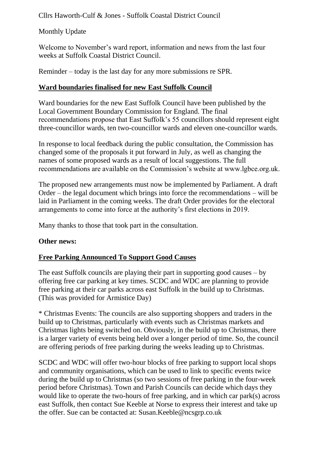Cllrs Haworth-Culf & Jones - Suffolk Coastal District Council

Monthly Update

Welcome to November's ward report, information and news from the last four weeks at Suffolk Coastal District Council.

Reminder – today is the last day for any more submissions re SPR.

# **Ward boundaries finalised for new East Suffolk Council**

Ward boundaries for the new East Suffolk Council have been published by the Local Government Boundary Commission for England. The final recommendations propose that East Suffolk's 55 councillors should represent eight three-councillor wards, ten two-councillor wards and eleven one-councillor wards.

In response to local feedback during the public consultation, the Commission has changed some of the proposals it put forward in July, as well as changing the names of some proposed wards as a result of local suggestions. The full recommendations are available on the Commission's website at www.lgbce.org.uk.

The proposed new arrangements must now be implemented by Parliament. A draft Order – the legal document which brings into force the recommendations – will be laid in Parliament in the coming weeks. The draft Order provides for the electoral arrangements to come into force at the authority's first elections in 2019.

Many thanks to those that took part in the consultation.

## **Other news:**

## **Free Parking Announced To Support Good Causes**

The east Suffolk councils are playing their part in supporting good causes – by offering free car parking at key times. SCDC and WDC are planning to provide free parking at their car parks across east Suffolk in the build up to Christmas. (This was provided for Armistice Day)

\* Christmas Events: The councils are also supporting shoppers and traders in the build up to Christmas, particularly with events such as Christmas markets and Christmas lights being switched on. Obviously, in the build up to Christmas, there is a larger variety of events being held over a longer period of time. So, the council are offering periods of free parking during the weeks leading up to Christmas.

SCDC and WDC will offer two-hour blocks of free parking to support local shops and community organisations, which can be used to link to specific events twice during the build up to Christmas (so two sessions of free parking in the four-week period before Christmas). Town and Parish Councils can decide which days they would like to operate the two-hours of free parking, and in which car park(s) across east Suffolk, then contact Sue Keeble at Norse to express their interest and take up the offer. Sue can be contacted at: Susan.Keeble@ncsgrp.co.uk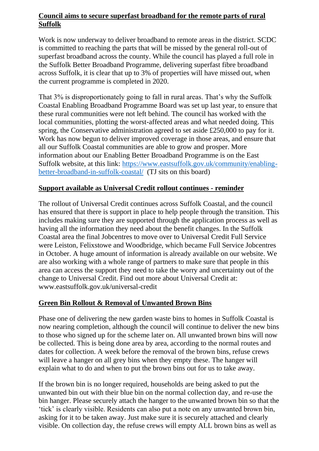### **Council aims to secure superfast broadband for the remote parts of rural Suffolk**

Work is now underway to deliver broadband to remote areas in the district. SCDC is committed to reaching the parts that will be missed by the general roll-out of superfast broadband across the county. While the council has played a full role in the Suffolk Better Broadband Programme, delivering superfast fibre broadband across Suffolk, it is clear that up to 3% of properties will have missed out, when the current programme is completed in 2020.

That 3% is disproportionately going to fall in rural areas. That's why the Suffolk Coastal Enabling Broadband Programme Board was set up last year, to ensure that these rural communities were not left behind. The council has worked with the local communities, plotting the worst-affected areas and what needed doing. This spring, the Conservative administration agreed to set aside £250,000 to pay for it. Work has now begun to deliver improved coverage in those areas, and ensure that all our Suffolk Coastal communities are able to grow and prosper. More information about our Enabling Better Broadband Programme is on the East Suffolk website, at this link: [https://www.eastsuffolk.gov.uk/community/enabling](https://www.eastsuffolk.gov.uk/community/enabling-better-broadband-in-suffolk-coastal/)[better-broadband-in-suffolk-coastal/](https://www.eastsuffolk.gov.uk/community/enabling-better-broadband-in-suffolk-coastal/) (TJ sits on this board)

### **Support available as Universal Credit rollout continues - reminder**

The rollout of Universal Credit continues across Suffolk Coastal, and the council has ensured that there is support in place to help people through the transition. This includes making sure they are supported through the application process as well as having all the information they need about the benefit changes. In the Suffolk Coastal area the final Jobcentres to move over to Universal Credit Full Service were Leiston, Felixstowe and Woodbridge, which became Full Service Jobcentres in October. A huge amount of information is already available on our website. We are also working with a whole range of partners to make sure that people in this area can access the support they need to take the worry and uncertainty out of the change to Universal Credit. Find out more about Universal Credit at: www.eastsuffolk.gov.uk/universal-credit

## **Green Bin Rollout & Removal of Unwanted Brown Bins**

Phase one of delivering the new garden waste bins to homes in Suffolk Coastal is now nearing completion, although the council will continue to deliver the new bins to those who signed up for the scheme later on. All unwanted brown bins will now be collected. This is being done area by area, according to the normal routes and dates for collection. A week before the removal of the brown bins, refuse crews will leave a hanger on all grey bins when they empty these. The hanger will explain what to do and when to put the brown bins out for us to take away.

If the brown bin is no longer required, households are being asked to put the unwanted bin out with their blue bin on the normal collection day, and re-use the bin hanger. Please securely attach the hanger to the unwanted brown bin so that the 'tick' is clearly visible. Residents can also put a note on any unwanted brown bin, asking for it to be taken away. Just make sure it is securely attached and clearly visible. On collection day, the refuse crews will empty ALL brown bins as well as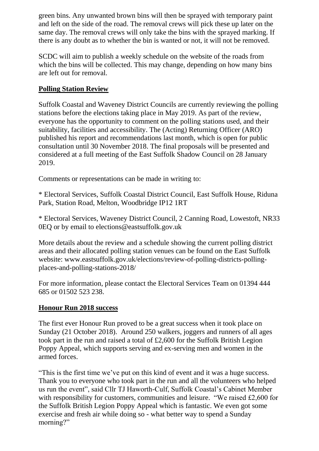green bins. Any unwanted brown bins will then be sprayed with temporary paint and left on the side of the road. The removal crews will pick these up later on the same day. The removal crews will only take the bins with the sprayed marking. If there is any doubt as to whether the bin is wanted or not, it will not be removed.

SCDC will aim to publish a weekly schedule on the website of the roads from which the bins will be collected. This may change, depending on how many bins are left out for removal.

## **Polling Station Review**

Suffolk Coastal and Waveney District Councils are currently reviewing the polling stations before the elections taking place in May 2019. As part of the review, everyone has the opportunity to comment on the polling stations used, and their suitability, facilities and accessibility. The (Acting) Returning Officer (ARO) published his report and recommendations last month, which is open for public consultation until 30 November 2018. The final proposals will be presented and considered at a full meeting of the East Suffolk Shadow Council on 28 January 2019.

Comments or representations can be made in writing to:

\* Electoral Services, Suffolk Coastal District Council, East Suffolk House, Riduna Park, Station Road, Melton, Woodbridge IP12 1RT

\* Electoral Services, Waveney District Council, 2 Canning Road, Lowestoft, NR33 0EQ or by email to elections@eastsuffolk.gov.uk

More details about the review and a schedule showing the current polling district areas and their allocated polling station venues can be found on the East Suffolk website: www.eastsuffolk.gov.uk/elections/review-of-polling-districts-pollingplaces-and-polling-stations-2018/

For more information, please contact the Electoral Services Team on 01394 444 685 or 01502 523 238.

#### **Honour Run 2018 success**

The first ever Honour Run proved to be a great success when it took place on Sunday (21 October 2018). Around 250 walkers, joggers and runners of all ages took part in the run and raised a total of £2,600 for the Suffolk British Legion Poppy Appeal, which supports serving and ex-serving men and women in the armed forces.

"This is the first time we've put on this kind of event and it was a huge success. Thank you to everyone who took part in the run and all the volunteers who helped us run the event", said Cllr TJ Haworth-Culf, Suffolk Coastal's Cabinet Member with responsibility for customers, communities and leisure. "We raised £2,600 for the Suffolk British Legion Poppy Appeal which is fantastic. We even got some exercise and fresh air while doing so - what better way to spend a Sunday morning?"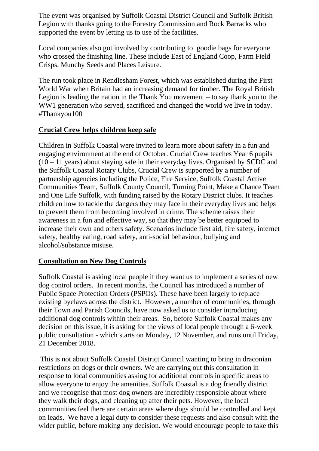The event was organised by Suffolk Coastal District Council and Suffolk British Legion with thanks going to the Forestry Commission and Rock Barracks who supported the event by letting us to use of the facilities.

Local companies also got involved by contributing to goodie bags for everyone who crossed the finishing line. These include East of England Coop, Farm Field Crisps, Munchy Seeds and Places Leisure.

The run took place in Rendlesham Forest, which was established during the First World War when Britain had an increasing demand for timber. The Royal British Legion is leading the nation in the Thank You movement – to say thank you to the WW1 generation who served, sacrificed and changed the world we live in today. #Thankyou100

### **Crucial Crew helps children keep safe**

Children in Suffolk Coastal were invited to learn more about safety in a fun and engaging environment at the end of October. Crucial Crew teaches Year 6 pupils  $(10 - 11$  years) about staying safe in their everyday lives. Organised by SCDC and the Suffolk Coastal Rotary Clubs, Crucial Crew is supported by a number of partnership agencies including the Police, Fire Service, Suffolk Coastal Active Communities Team, Suffolk County Council, Turning Point, Make a Chance Team and One Life Suffolk, with funding raised by the Rotary District clubs. It teaches children how to tackle the dangers they may face in their everyday lives and helps to prevent them from becoming involved in crime. The scheme raises their awareness in a fun and effective way, so that they may be better equipped to increase their own and others safety. Scenarios include first aid, fire safety, internet safety, healthy eating, road safety, anti-social behaviour, bullying and alcohol/substance misuse.

#### **Consultation on New Dog Controls**

Suffolk Coastal is asking local people if they want us to implement a series of new dog control orders. In recent months, the Council has introduced a number of Public Space Protection Orders (PSPOs). These have been largely to replace existing byelaws across the district. However, a number of communities, through their Town and Parish Councils, have now asked us to consider introducing additional dog controls within their areas. So, before Suffolk Coastal makes any decision on this issue, it is asking for the views of local people through a 6-week public consultation - which starts on Monday, 12 November, and runs until Friday, 21 December 2018.

This is not about Suffolk Coastal District Council wanting to bring in draconian restrictions on dogs or their owners. We are carrying out this consultation in response to local communities asking for additional controls in specific areas to allow everyone to enjoy the amenities. Suffolk Coastal is a dog friendly district and we recognise that most dog owners are incredibly responsible about where they walk their dogs, and cleaning up after their pets. However, the local communities feel there are certain areas where dogs should be controlled and kept on leads. We have a legal duty to consider these requests and also consult with the wider public, before making any decision. We would encourage people to take this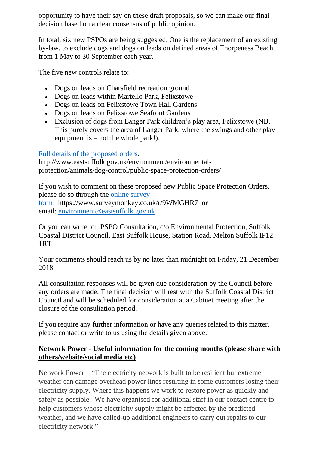opportunity to have their say on these draft proposals, so we can make our final decision based on a clear consensus of public opinion.

In total, six new PSPOs are being suggested. One is the replacement of an existing by-law, to exclude dogs and dogs on leads on defined areas of Thorpeness Beach from 1 May to 30 September each year.

The five new controls relate to:

- Dogs on leads on Charsfield recreation ground
- Dogs on leads within Martello Park, Felixstowe
- Dogs on leads on Felixstowe Town Hall Gardens
- Dogs on leads on Felixstowe Seafront Gardens
- Exclusion of dogs from Langer Park children's play area, Felixstowe (NB. This purely covers the area of Langer Park, where the swings and other play equipment is  $-$  not the whole park!).

#### [Full details of the proposed orders.](http://www.eastsuffolk.gov.uk/environment/environmental-protection/animals/dog-control/public-space-protection-orders/)

http://www.eastsuffolk.gov.uk/environment/environmentalprotection/animals/dog-control/public-space-protection-orders/

If you wish to comment on these proposed new Public Space Protection Orders, please do so through the [online survey](https://www.surveymonkey.co.uk/r/9WMGHR7)  [form](https://www.surveymonkey.co.uk/r/9WMGHR7) https://www.surveymonkey.co.uk/r/9WMGHR7 or email: [environment@eastsuffolk.gov.uk](mailto:environment@eastsuffolk.gov.uk)

Or you can write to: PSPO Consultation, c/o Environmental Protection, Suffolk Coastal District Council, East Suffolk House, Station Road, Melton Suffolk IP12 1RT

Your comments should reach us by no later than midnight on Friday, 21 December 2018.

All consultation responses will be given due consideration by the Council before any orders are made. The final decision will rest with the Suffolk Coastal District Council and will be scheduled for consideration at a Cabinet meeting after the closure of the consultation period.

If you require any further information or have any queries related to this matter, please contact or write to us using the details given above.

### **Network Power - Useful information for the coming months (please share with others/website/social media etc)**

Network Power – "The electricity network is built to be resilient but extreme weather can damage overhead power lines resulting in some customers losing their electricity supply. Where this happens we work to restore power as quickly and safely as possible. We have organised for additional staff in our contact centre to help customers whose electricity supply might be affected by the predicted weather, and we have called-up additional engineers to carry out repairs to our electricity network."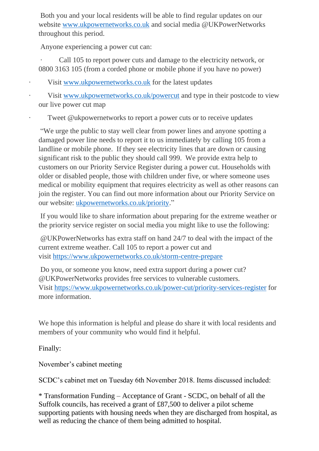Both you and your local residents will be able to find regular updates on our website [www.ukpowernetworks.co.uk](http://www.ukpowernetworks.co.uk/) and social media @UKPowerNetworks throughout this period.

Anyone experiencing a power cut can:

Call 105 to report power cuts and damage to the electricity network, or 0800 3163 105 (from a corded phone or mobile phone if you have no power)

Visit [www.ukpowernetworks.co.uk](http://www.ukpowernetworks.co.uk/) for the latest updates

Visit [www.ukpowernetworks.co.uk/powercut](http://www.ukpowernetworks.co.uk/powercut) and type in their postcode to view our live power cut map

Tweet @ukpowernetworks to report a power cuts or to receive updates

"We urge the public to stay well clear from power lines and anyone spotting a damaged power line needs to report it to us immediately by calling 105 from a landline or mobile phone. If they see electricity lines that are down or causing significant risk to the public they should call 999. We provide extra help to customers on our Priority Service Register during a power cut. Households with older or disabled people, those with children under five, or where someone uses medical or mobility equipment that requires electricity as well as other reasons can join the register. You can find out more information about our Priority Service on our website: [ukpowernetworks.co.uk/priority.](http://www.ukpowernetworks.co.uk/priority)"

If you would like to share information about preparing for the extreme weather or the priority service register on social media you might like to use the following:

@UKPowerNetworks has extra staff on hand 24/7 to deal with the impact of the current extreme weather. Call 105 to report a power cut and visit <https://www.ukpowernetworks.co.uk/storm-centre-prepare>

Do you, or someone you know, need extra support during a power cut? @UKPowerNetworks provides free services to vulnerable customers. Visit <https://www.ukpowernetworks.co.uk/power-cut/priority-services-register> for more information.

We hope this information is helpful and please do share it with local residents and members of your community who would find it helpful.

Finally:

November's cabinet meeting

SCDC's cabinet met on Tuesday 6th November 2018. Items discussed included:

\* Transformation Funding – Acceptance of Grant - SCDC, on behalf of all the Suffolk councils, has received a grant of £87,500 to deliver a pilot scheme supporting patients with housing needs when they are discharged from hospital, as well as reducing the chance of them being admitted to hospital.